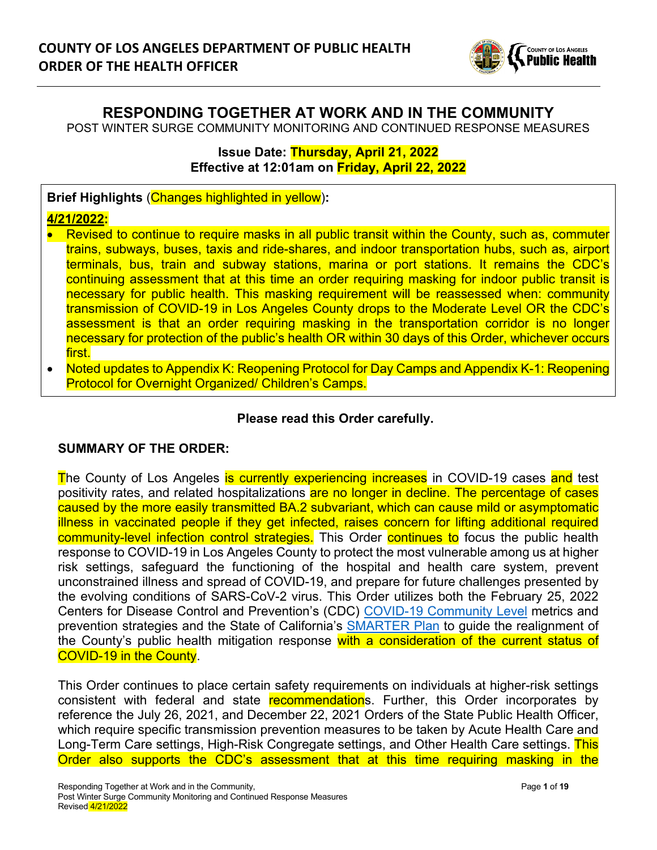

# **RESPONDING TOGETHER AT WORK AND IN THE COMMUNITY**

POST WINTER SURGE COMMUNITY MONITORING AND CONTINUED RESPONSE MEASURES

#### **Issue Date: Thursday, April 21, 2022 Effective at 12:01am on Friday, April 22, 2022**

**Brief Highlights** (Changes highlighted in yellow)**:** 

## **4/21/2022:**

- Revised to continue to require masks in all public transit within the County, such as, commuter trains, subways, buses, taxis and ride-shares, and indoor transportation hubs, such as, airport terminals, bus, train and subway stations, marina or port stations. It remains the CDC's continuing assessment that at this time an order requiring masking for indoor public transit is necessary for public health. This masking requirement will be reassessed when: community transmission of COVID-19 in Los Angeles County drops to the Moderate Level OR the CDC's assessment is that an order requiring masking in the transportation corridor is no longer necessary for protection of the public's health OR within 30 days of this Order, whichever occurs first.
- Noted updates to Appendix K: Reopening Protocol for Day Camps and Appendix K-1: Reopening Protocol for Overnight Organized/ Children's Camps.

## **Please read this Order carefully.**

#### **SUMMARY OF THE ORDER:**

The County of Los Angeles is currently experiencing increases in COVID-19 cases and test positivity rates, and related hospitalizations are no longer in decline. The percentage of cases caused by the more easily transmitted BA.2 subvariant, which can cause mild or asymptomatic illness in vaccinated people if they get infected, raises concern for lifting additional required community-level infection control strategies. This Order continues to focus the public health response to COVID-19 in Los Angeles County to protect the most vulnerable among us at higher risk settings, safeguard the functioning of the hospital and health care system, prevent unconstrained illness and spread of COVID-19, and prepare for future challenges presented by the evolving conditions of SARS-CoV-2 virus. This Order utilizes both the February 25, 2022 Centers for Disease Control and Prevention's (CDC) [COVID-19 Community Level](https://www.cdc.gov/coronavirus/2019-ncov/your-health/covid-by-county.html) metrics and prevention strategies and the State of California's [SMARTER Plan](https://covid19.ca.gov/smarter/) to guide the realignment of the County's public health mitigation response with a consideration of the current status of COVID-19 in the County.

This Order continues to place certain safety requirements on individuals at higher-risk settings consistent with federal and state recommendations. Further, this Order incorporates by reference the July 26, 2021, and December 22, 2021 Orders of the State Public Health Officer, which require specific transmission prevention measures to be taken by Acute Health Care and Long-Term Care settings, High-Risk Congregate settings, and Other Health Care settings. This Order also supports the CDC's assessment that at this time requiring masking in the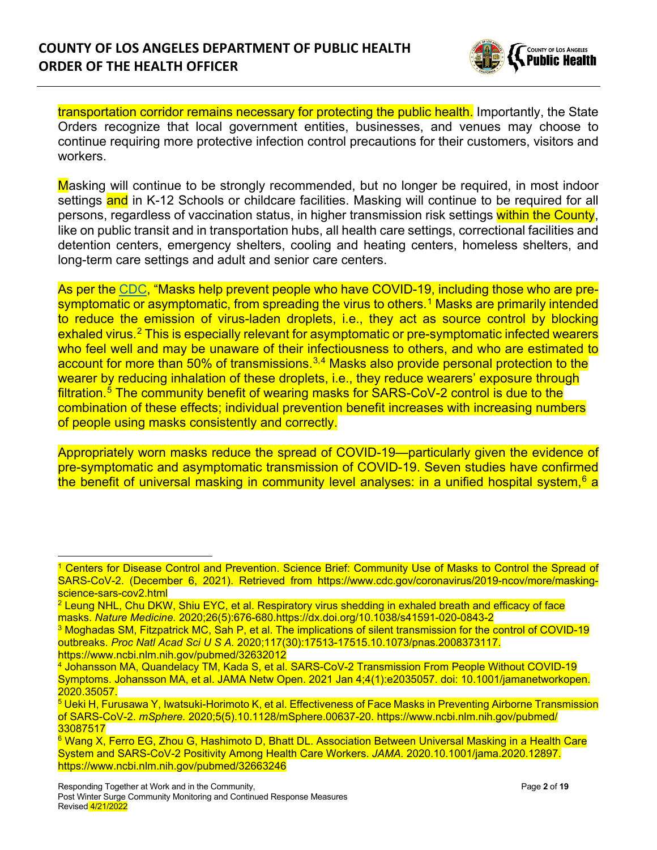

transportation corridor remains necessary for protecting the public health. Importantly, the State Orders recognize that local government entities, businesses, and venues may choose to continue requiring more protective infection control precautions for their customers, visitors and workers.

Masking will continue to be strongly recommended, but no longer be required, in most indoor settings and in K-12 Schools or childcare facilities. Masking will continue to be required for all persons, regardless of vaccination status, in higher transmission risk settings within the County, like on public transit and in transportation hubs, all health care settings, correctional facilities and detention centers, emergency shelters, cooling and heating centers, homeless shelters, and long-term care settings and adult and senior care centers.

As per the [CDC,](https://www.cdc.gov/quarantine/pdf/Mask-Order-CDC_GMTF_01-29-21-p.pdf) "Masks help prevent people who have COVID-19, including those who are pre-symptomatic or asymptomatic, from spreading the virus to others.<sup>[1](#page-1-0)</sup> Masks are primarily intended to reduce the emission of virus-laden droplets, i.e., they act as source control by blocking exhaled virus.<sup>[2](#page-1-1)</sup> This is especially relevant for asymptomatic or pre-symptomatic infected wearers who feel well and may be unaware of their infectiousness to others, and who are estimated to account for more than 50% of transmissions.<sup>[3](#page-1-2),[4](#page-1-3)</sup> Masks also provide personal protection to the wearer by reducing inhalation of these droplets, i.e., they reduce wearers' exposure through filtration.<sup>[5](#page-1-4)</sup> The community benefit of wearing masks for SARS-CoV-2 control is due to the combination of these effects; individual prevention benefit increases with increasing numbers of people using masks consistently and correctly.

Appropriately worn masks reduce the spread of COVID-19—particularly given the evidence of pre-symptomatic and asymptomatic transmission of COVID-19. Seven studies have confirmed the benefit of universal masking in community level analyses: in a unified hospital system,  $6$  a

<span id="page-1-0"></span><sup>1</sup> Centers for Disease Control and Prevention. Science Brief: Community Use of Masks to Control the Spread of SARS-CoV-2. (December 6, 2021). Retrieved from https://www.cdc.gov/coronavirus/2019-ncov/more/maskingscience-sars-cov2.html

<span id="page-1-1"></span><sup>&</sup>lt;sup>2</sup> Leung NHL, Chu DKW, Shiu EYC, et al. Respiratory virus shedding in exhaled breath and efficacy of face masks. *Nature Medicine.* 2020;26(5):676-680.https://dx.doi.org/10.1038/s41591-020-0843-2

<span id="page-1-2"></span><sup>3</sup> Moghadas SM, Fitzpatrick MC, Sah P, et al. The implications of silent transmission for the control of COVID-19 outbreaks. *Proc Natl Acad Sci U S A.* 2020;117(30):17513-17515.10.1073/pnas.2008373117. https://www.ncbi.nlm.nih.gov/pubmed/32632012

<span id="page-1-3"></span><sup>4</sup> Johansson MA, Quandelacy TM, Kada S, et al. SARS-CoV-2 Transmission From People Without COVID-19 Symptoms. Johansson MA, et al. JAMA Netw Open. 2021 Jan 4;4(1):e2035057. doi: 10.1001/jamanetworkopen. 2020.35057.

<span id="page-1-4"></span><sup>5</sup> Ueki H, Furusawa Y, Iwatsuki-Horimoto K, et al. Effectiveness of Face Masks in Preventing Airborne Transmission of SARS-CoV-2. *mSphere.* 2020;5(5).10.1128/mSphere.00637-20. https://www.ncbi.nlm.nih.gov/pubmed/ 33087517

<span id="page-1-5"></span><sup>6</sup> Wang X, Ferro EG, Zhou G, Hashimoto D, Bhatt DL. Association Between Universal Masking in a Health Care System and SARS-CoV-2 Positivity Among Health Care Workers. *JAMA.* 2020.10.1001/jama.2020.12897. https://www.ncbi.nlm.nih.gov/pubmed/32663246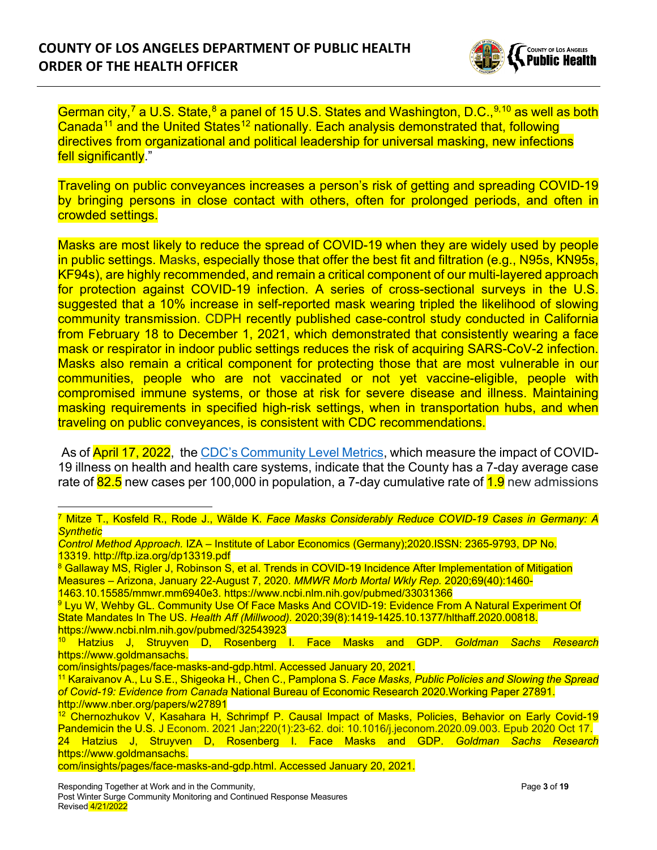

German city,<sup>[7](#page-2-0)</sup> a U.S. State,<sup>[8](#page-2-1)</sup> a panel of 15 U.S. States and Washington, D.C.,<sup>[9,](#page-2-2)[10](#page-2-3)</sup> as well as both Canada<sup>[11](#page-2-4)</sup> and the United States<sup>[12](#page-2-5)</sup> nationally. Each analysis demonstrated that, following directives from organizational and political leadership for universal masking, new infections fell significantly."

Traveling on public conveyances increases a person's risk of getting and spreading COVID-19 by bringing persons in close contact with others, often for prolonged periods, and often in crowded settings.

Masks are most likely to reduce the spread of COVID-19 when they are widely used by people in public settings. Masks, especially those that offer the best fit and filtration (e.g., N95s, KN95s, KF94s), are highly recommended, and remain a critical component of our multi-layered approach for protection against COVID-19 infection. A series of cross-sectional surveys in the U.S. suggested that a 10% increase in self-reported mask wearing tripled the likelihood of slowing community transmission. CDPH recently published case-control study conducted in California from February 18 to December 1, 2021, which demonstrated that consistently wearing a face mask or respirator in indoor public settings reduces the risk of acquiring SARS-CoV-2 infection. Masks also remain a critical component for protecting those that are most vulnerable in our communities, people who are not vaccinated or not yet vaccine-eligible, people with compromised immune systems, or those at risk for severe disease and illness. Maintaining masking requirements in specified high-risk settings, when in transportation hubs, and when traveling on public conveyances, is consistent with CDC recommendations.

As of **April 17, 2022**, the [CDC's Community Level Metrics,](https://www.cdc.gov/coronavirus/2019-ncov/your-health/covid-by-county.html) which measure the impact of COVID-19 illness on health and health care systems, indicate that the County has a 7-day average case rate of  $82.5$  new cases per 100,000 in population, a 7-day cumulative rate of  $1.9$  new admissions

1463.10.15585/mmwr.mm6940e3. https://www.ncbi.nlm.nih.gov/pubmed/33031366

<span id="page-2-0"></span><sup>7</sup> Mitze T., Kosfeld R., Rode J., Wälde K. *Face Masks Considerably Reduce COVID-19 Cases in Germany: A Synthetic*

*Control Method Approach.* IZA – Institute of Labor Economics (Germany);2020.ISSN: 2365-9793, DP No. 13319. http://ftp.iza.org/dp13319.pdf

<span id="page-2-1"></span><sup>&</sup>lt;sup>8</sup> Gallaway MS, Rigler J, Robinson S, et al. Trends in COVID-19 Incidence After Implementation of Mitigation Measures – Arizona, January 22-August 7, 2020. *MMWR Morb Mortal Wkly Rep.* 2020;69(40):1460-

<span id="page-2-2"></span><sup>&</sup>lt;sup>9</sup> Lyu W, Wehby GL. Community Use Of Face Masks And COVID-19: Evidence From A Natural Experiment Of State Mandates In The US. *Health Aff (Millwood).* 2020;39(8):1419-1425.10.1377/hlthaff.2020.00818. https://www.ncbi.nlm.nih.gov/pubmed/32543923

<span id="page-2-3"></span><sup>10</sup> Hatzius J, Struyven D, Rosenberg I. Face Masks and GDP. *Goldman Sachs Research*  https://www.goldmansachs.

com/insights/pages/face-masks-and-gdp.html. Accessed January 20, 2021.

<span id="page-2-4"></span><sup>11</sup> Karaivanov A., Lu S.E., Shigeoka H., Chen C., Pamplona S. *Face Masks, Public Policies and Slowing the Spread of Covid-19: Evidence from Canada* National Bureau of Economic Research 2020.Working Paper 27891. http://www.nber.org/papers/w27891

<span id="page-2-5"></span><sup>&</sup>lt;sup>12</sup> Chernozhukov V, Kasahara H, Schrimpf P, Causal Impact of Masks, Policies, Behavior on Early Covid-19 Pandemicin the U.S. J Econom. 2021 Jan;220(1):23-62. doi: 10.1016/j.jeconom.2020.09.003. Epub 2020 Oct 17. 24 Hatzius J, Struyven D, Rosenberg I. Face Masks and GDP. *Goldman Sachs Research*  https://www.goldmansachs.

com/insights/pages/face-masks-and-gdp.html. Accessed January 20, 2021.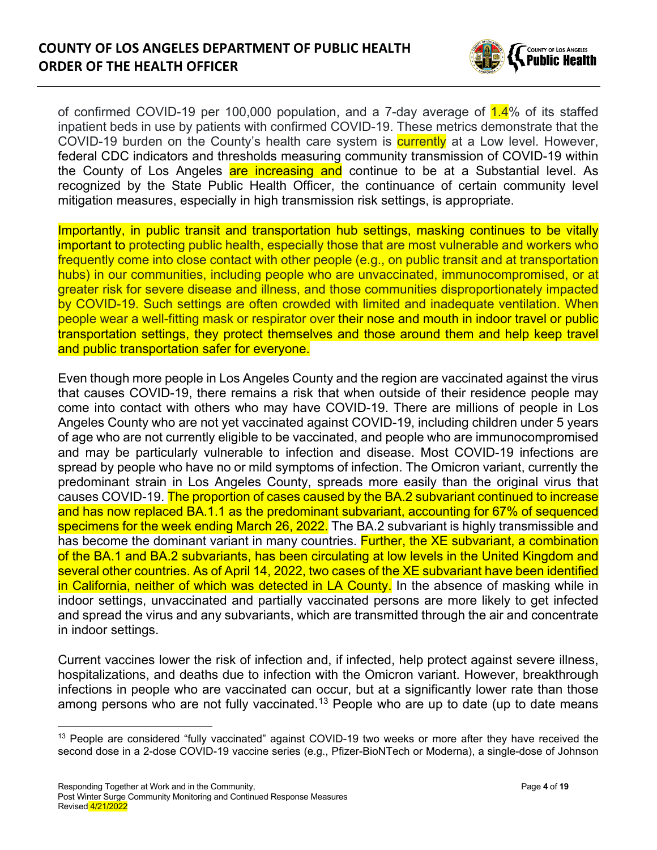

of confirmed COVID-19 per 100,000 population, and a 7-day average of  $1.4\%$  of its staffed inpatient beds in use by patients with confirmed COVID-19. These metrics demonstrate that the COVID-19 burden on the County's health care system is **currently** at a Low level. However, federal CDC indicators and thresholds measuring community transmission of COVID-19 within the County of Los Angeles are increasing and continue to be at a Substantial level. As recognized by the State Public Health Officer, the continuance of certain community level mitigation measures, especially in high transmission risk settings, is appropriate.

Importantly, in public transit and transportation hub settings, masking continues to be vitally important to protecting public health, especially those that are most vulnerable and workers who frequently come into close contact with other people (e.g., on public transit and at transportation hubs) in our communities, including people who are unvaccinated, immunocompromised, or at greater risk for severe disease and illness, and those communities disproportionately impacted by COVID-19. Such settings are often crowded with limited and inadequate ventilation. When people wear a well-fitting mask or respirator over their nose and mouth in indoor travel or public transportation settings, they protect themselves and those around them and help keep travel and public transportation safer for everyone.

Even though more people in Los Angeles County and the region are vaccinated against the virus that causes COVID-19, there remains a risk that when outside of their residence people may come into contact with others who may have COVID-19. There are millions of people in Los Angeles County who are not yet vaccinated against COVID-19, including children under 5 years of age who are not currently eligible to be vaccinated, and people who are immunocompromised and may be particularly vulnerable to infection and disease. Most COVID-19 infections are spread by people who have no or mild symptoms of infection. The Omicron variant, currently the predominant strain in Los Angeles County, spreads more easily than the original virus that causes COVID-19. The proportion of cases caused by the BA.2 subvariant continued to increase and has now replaced BA.1.1 as the predominant subvariant, accounting for 67% of sequenced specimens for the week ending March 26, 2022. The BA.2 subvariant is highly transmissible and has become the dominant variant in many countries. Further, the XE subvariant, a combination of the BA.1 and BA.2 subvariants, has been circulating at low levels in the United Kingdom and several other countries. As of April 14, 2022, two cases of the XE subvariant have been identified in California, neither of which was detected in LA County. In the absence of masking while in indoor settings, unvaccinated and partially vaccinated persons are more likely to get infected and spread the virus and any subvariants, which are transmitted through the air and concentrate in indoor settings.

Current vaccines lower the risk of infection and, if infected, help protect against severe illness, hospitalizations, and deaths due to infection with the Omicron variant. However, breakthrough infections in people who are vaccinated can occur, but at a significantly lower rate than those among persons who are not fully vaccinated.<sup>[13](#page-3-0)</sup> People who are up to date (up to date means

<span id="page-3-0"></span><sup>&</sup>lt;sup>13</sup> People are considered "fully vaccinated" against COVID-19 two weeks or more after they have received the second dose in a 2-dose COVID-19 vaccine series (e.g., Pfizer-BioNTech or Moderna), a single-dose of Johnson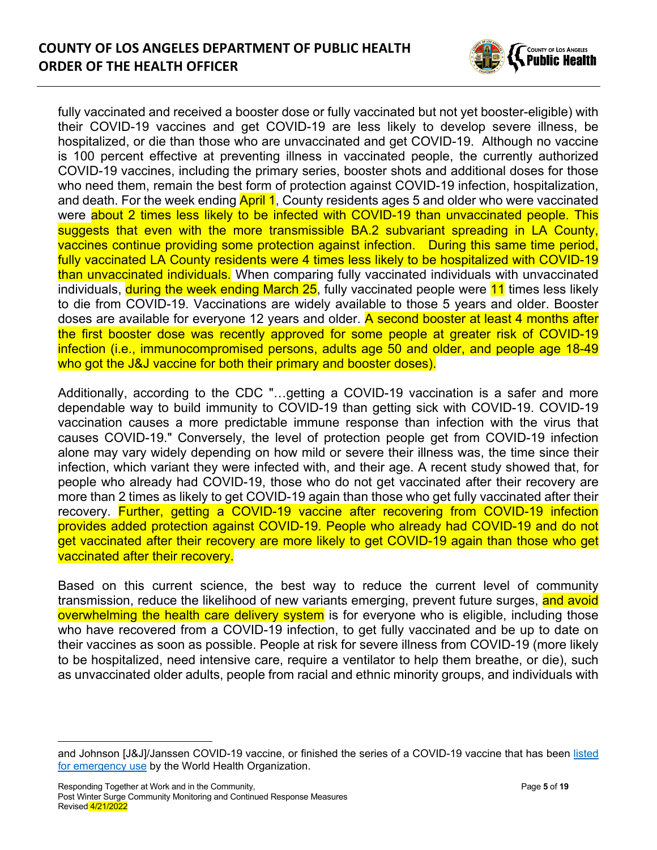

fully vaccinated and received a booster dose or fully vaccinated but not yet booster-eligible) with their COVID-19 vaccines and get COVID-19 are less likely to develop severe illness, be hospitalized, or die than those who are unvaccinated and get COVID-19. Although no vaccine is 100 percent effective at preventing illness in vaccinated people, the currently authorized COVID-19 vaccines, including the primary series, booster shots and additional doses for those who need them, remain the best form of protection against COVID-19 infection, hospitalization, and death. For the week ending **April 1**, County residents ages 5 and older who were vaccinated were about 2 times less likely to be infected with COVID-19 than unvaccinated people. This suggests that even with the more transmissible BA.2 subvariant spreading in LA County, vaccines continue providing some protection against infection. During this same time period, fully vaccinated LA County residents were 4 times less likely to be hospitalized with COVID-19 than unvaccinated individuals. When comparing fully vaccinated individuals with unvaccinated individuals, during the week ending March 25, fully vaccinated people were 11 times less likely to die from COVID-19. Vaccinations are widely available to those 5 years and older. Booster doses are available for everyone 12 years and older. A second booster at least 4 months after the first booster dose was recently approved for some people at greater risk of COVID-19 infection (i.e., immunocompromised persons, adults age 50 and older, and people age 18-49 who got the J&J vaccine for both their primary and booster doses).

Additionally, according to the CDC "…getting a COVID-19 vaccination is a safer and more dependable way to build immunity to COVID-19 than getting sick with COVID-19. COVID-19 vaccination causes a more predictable immune response than infection with the virus that causes COVID-19." Conversely, the level of protection people get from COVID-19 infection alone may vary widely depending on how mild or severe their illness was, the time since their infection, which variant they were infected with, and their age. A recent study showed that, for people who already had COVID-19, those who do not get vaccinated after their recovery are more than 2 times as likely to get COVID-19 again than those who get fully vaccinated after their recovery. Further, getting a COVID-19 vaccine after recovering from COVID-19 infection provides added protection against COVID-19. People who already had COVID-19 and do not get vaccinated after their recovery are more likely to get COVID-19 again than those who get vaccinated after their recovery.

Based on this current science, the best way to reduce the current level of community transmission, reduce the likelihood of new variants emerging, prevent future surges, and avoid overwhelming the health care delivery system is for everyone who is eligible, including those who have recovered from a COVID-19 infection, to get fully vaccinated and be up to date on their vaccines as soon as possible. People at risk for severe illness from COVID-19 (more likely to be hospitalized, need intensive care, require a ventilator to help them breathe, or die), such as unvaccinated older adults, people from racial and ethnic minority groups, and individuals with

and Johnson [J&J]/Janssen COVID-19 vaccine, or finished the series of a COVID-19 vaccine that has been [listed](https://extranet.who.int/pqweb/vaccines/covid-19-vaccines)  [for emergency use](https://extranet.who.int/pqweb/vaccines/covid-19-vaccines) by the World Health Organization.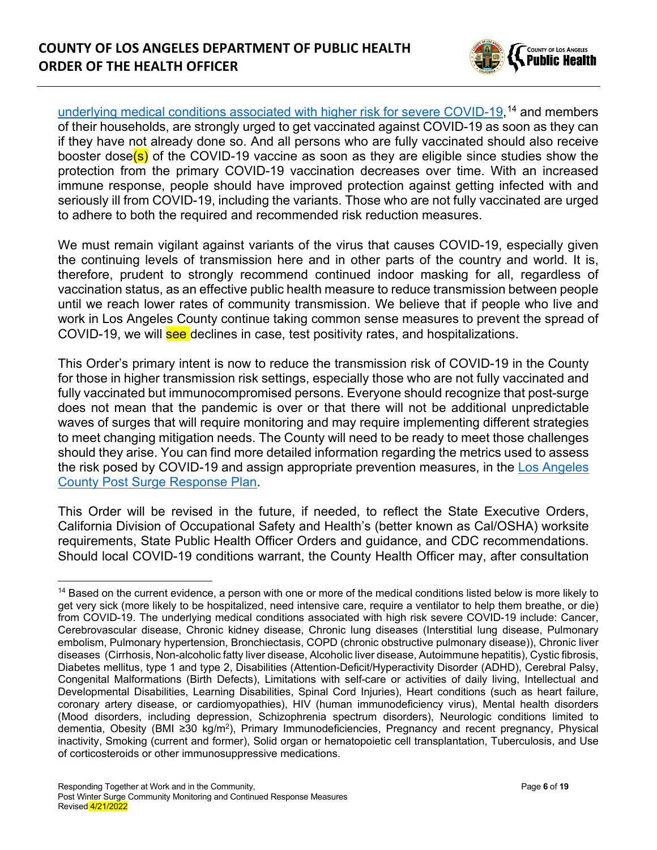

[underlying medical conditions associated with higher risk for severe COVID-19,](https://www.cdc.gov/coronavirus/2019-ncov/need-extra-precautions/people-with-medical-conditions.html) [14](#page-5-0) and members of their households, are strongly urged to get vaccinated against COVID-19 as soon as they can if they have not already done so. And all persons who are fully vaccinated should also receive booster dose(s) of the COVID-19 vaccine as soon as they are eligible since studies show the protection from the primary COVID-19 vaccination decreases over time. With an increased immune response, people should have improved protection against getting infected with and seriously ill from COVID-19, including the variants. Those who are not fully vaccinated are urged to adhere to both the required and recommended risk reduction measures.

We must remain vigilant against variants of the virus that causes COVID-19, especially given the continuing levels of transmission here and in other parts of the country and world. It is, therefore, prudent to strongly recommend continued indoor masking for all, regardless of vaccination status, as an effective public health measure to reduce transmission between people until we reach lower rates of community transmission. We believe that if people who live and work in Los Angeles County continue taking common sense measures to prevent the spread of COVID-19, we will see declines in case, test positivity rates, and hospitalizations.

This Order's primary intent is now to reduce the transmission risk of COVID-19 in the County for those in higher transmission risk settings, especially those who are not fully vaccinated and fully vaccinated but immunocompromised persons. Everyone should recognize that post-surge does not mean that the pandemic is over or that there will not be additional unpredictable waves of surges that will require monitoring and may require implementing different strategies to meet changing mitigation needs. The County will need to be ready to meet those challenges should they arise. You can find more detailed information regarding the metrics used to assess the risk posed by COVID-19 and assign appropriate prevention measures, in the [Los Angeles](http://ph.lacounty.gov/media/Coronavirus/docs/HOO/PostSurgeResponsePlan.pdf)  [County Post Surge Response Plan.](http://ph.lacounty.gov/media/Coronavirus/docs/HOO/PostSurgeResponsePlan.pdf)

This Order will be revised in the future, if needed, to reflect the State Executive Orders, California Division of Occupational Safety and Health's (better known as Cal/OSHA) worksite requirements, State Public Health Officer Orders and guidance, and CDC recommendations. Should local COVID-19 conditions warrant, the County Health Officer may, after consultation

<span id="page-5-0"></span><sup>&</sup>lt;sup>14</sup> Based on the current evidence, a person with one or more of the medical conditions listed below is more likely to get very sick (more likely to be hospitalized, need intensive care, require a ventilator to help them breathe, or die) from COVID-19. The underlying medical conditions associated with high risk severe COVID-19 include: Cancer, Cerebrovascular disease, Chronic kidney disease, Chronic lung diseases (Interstitial lung disease, Pulmonary embolism, Pulmonary hypertension, Bronchiectasis, COPD (chronic obstructive pulmonary disease)), Chronic liver diseases (Cirrhosis, Non-alcoholic fatty liver disease, Alcoholic liver disease, Autoimmune hepatitis), Cystic fibrosis, Diabetes mellitus, type 1 and type 2, Disabilities (Attention-Deficit/Hyperactivity Disorder (ADHD), Cerebral Palsy, Congenital Malformations (Birth Defects), Limitations with self-care or activities of daily living, Intellectual and Developmental Disabilities, Learning Disabilities, Spinal Cord Injuries), Heart conditions (such as heart failure, coronary artery disease, or cardiomyopathies), HIV (human immunodeficiency virus), Mental health disorders (Mood disorders, including depression, Schizophrenia spectrum disorders), Neurologic conditions limited to dementia, Obesity (BMI ≥30 kg/m2), Primary Immunodeficiencies, Pregnancy and recent pregnancy, Physical inactivity, Smoking (current and former), Solid organ or hematopoietic cell transplantation, Tuberculosis, and Use of corticosteroids or other immunosuppressive medications.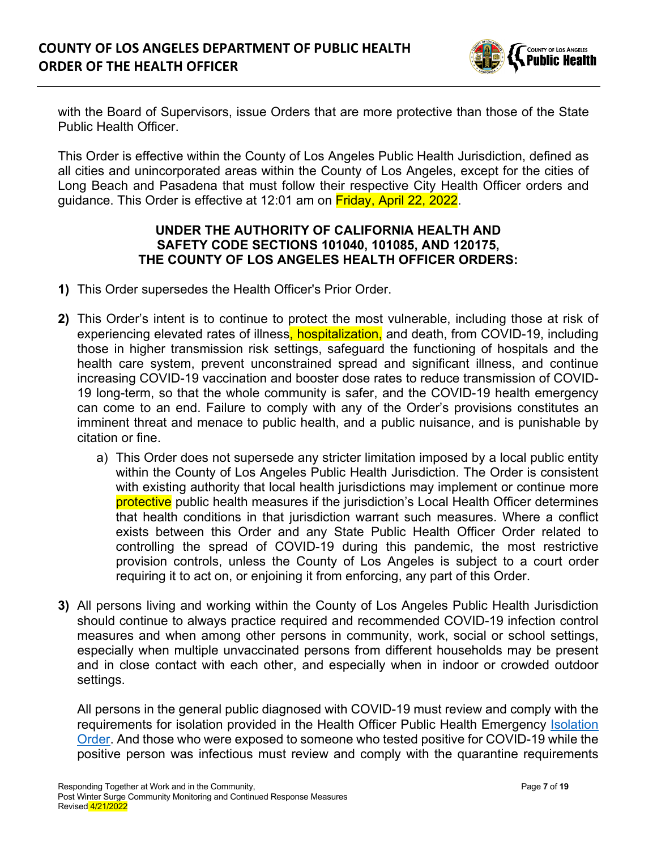

with the Board of Supervisors, issue Orders that are more protective than those of the State Public Health Officer.

This Order is effective within the County of Los Angeles Public Health Jurisdiction, defined as all cities and unincorporated areas within the County of Los Angeles, except for the cities of Long Beach and Pasadena that must follow their respective City Health Officer orders and guidance. This Order is effective at 12:01 am on Friday, April 22, 2022.

## **UNDER THE AUTHORITY OF CALIFORNIA HEALTH AND SAFETY CODE SECTIONS 101040, 101085, AND 120175, THE COUNTY OF LOS ANGELES HEALTH OFFICER ORDERS:**

- **1)** This Order supersedes the Health Officer's Prior Order.
- **2)** This Order's intent is to continue to protect the most vulnerable, including those at risk of experiencing elevated rates of illness, hospitalization, and death, from COVID-19, including those in higher transmission risk settings, safeguard the functioning of hospitals and the health care system, prevent unconstrained spread and significant illness, and continue increasing COVID-19 vaccination and booster dose rates to reduce transmission of COVID-19 long-term, so that the whole community is safer, and the COVID-19 health emergency can come to an end. Failure to comply with any of the Order's provisions constitutes an imminent threat and menace to public health, and a public nuisance, and is punishable by citation or fine.
	- a) This Order does not supersede any stricter limitation imposed by a local public entity within the County of Los Angeles Public Health Jurisdiction. The Order is consistent with existing authority that local health jurisdictions may implement or continue more protective public health measures if the jurisdiction's Local Health Officer determines that health conditions in that jurisdiction warrant such measures. Where a conflict exists between this Order and any State Public Health Officer Order related to controlling the spread of COVID-19 during this pandemic, the most restrictive provision controls, unless the County of Los Angeles is subject to a court order requiring it to act on, or enjoining it from enforcing, any part of this Order.
- **3)** All persons living and working within the County of Los Angeles Public Health Jurisdiction should continue to always practice required and recommended COVID-19 infection control measures and when among other persons in community, work, social or school settings, especially when multiple unvaccinated persons from different households may be present and in close contact with each other, and especially when in indoor or crowded outdoor settings.

All persons in the general public diagnosed with COVID-19 must review and comply with the requirements for isolation provided in the Health Officer Public Health Emergency [Isolation](http://publichealth.lacounty.gov/media/Coronavirus/docs/HOO/HOO_Coronavirus_Blanket_Isolation.pdf)  [Order.](http://publichealth.lacounty.gov/media/Coronavirus/docs/HOO/HOO_Coronavirus_Blanket_Isolation.pdf) And those who were exposed to someone who tested positive for COVID-19 while the positive person was infectious must review and comply with the quarantine requirements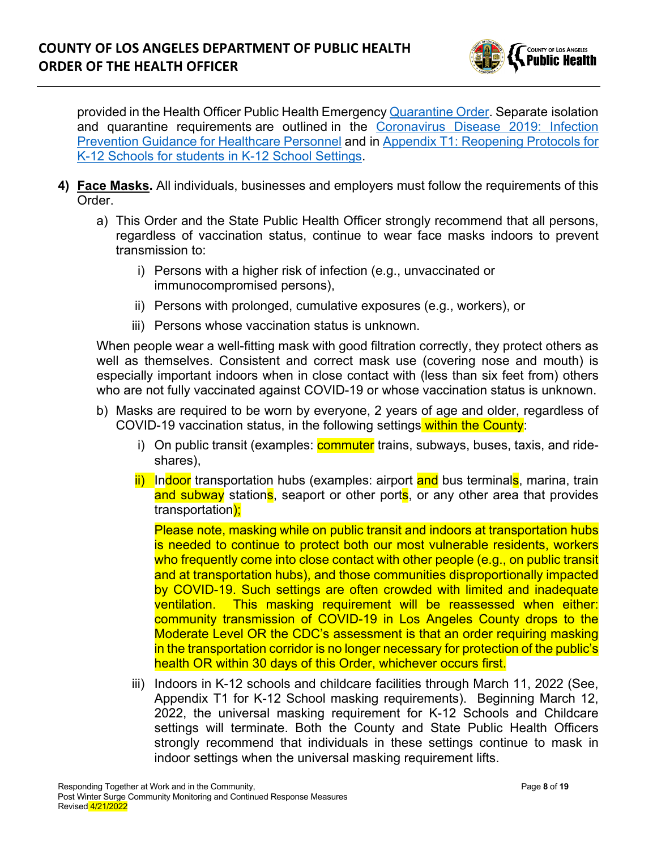

provided in the Health Officer Public Health Emergency [Quarantine Order.](http://publichealth.lacounty.gov/media/Coronavirus/docs/HOO/HOO_Coronavirus_Blanket_Quarantine.pdf) Separate isolation and quarantine requirements are outlined in the [Coronavirus Disease 2019: Infection](http://publichealth.lacounty.gov/acd/ncorona2019/healthfacilities/HCPMonitoring/)  [Prevention Guidance for Healthcare Personnel](http://publichealth.lacounty.gov/acd/ncorona2019/healthfacilities/HCPMonitoring/) and in [Appendix T1: Reopening Protocols for](http://publichealth.lacounty.gov/media/Coronavirus/docs/protocols/Reopening_K12Schools.pdf)  [K-12 Schools for students in K-12 School Settings.](http://publichealth.lacounty.gov/media/Coronavirus/docs/protocols/Reopening_K12Schools.pdf)

- **4) Face Masks.** All individuals, businesses and employers must follow the requirements of this Order.
	- a) This Order and the State Public Health Officer strongly recommend that all persons, regardless of vaccination status, continue to wear face masks indoors to prevent transmission to:
		- i) Persons with a higher risk of infection (e.g., unvaccinated or immunocompromised persons),
		- ii) Persons with prolonged, cumulative exposures (e.g., workers), or
		- iii) Persons whose vaccination status is unknown.

When people wear a well-fitting mask with good filtration correctly, they protect others as well as themselves. Consistent and correct mask use (covering nose and mouth) is especially important indoors when in close contact with (less than six feet from) others who are not fully vaccinated against COVID-19 or whose vaccination status is unknown.

- b) Masks are required to be worn by everyone, 2 years of age and older, regardless of COVID-19 vaccination status, in the following settings within the County:
	- i) On public transit (examples: commuter trains, subways, buses, taxis, and rideshares),
	- ii) Indoor transportation hubs (examples: airport and bus terminals, marina, train and subway stations, seaport or other ports, or any other area that provides transportation);

Please note, masking while on public transit and indoors at transportation hubs is needed to continue to protect both our most vulnerable residents, workers who frequently come into close contact with other people (e.g., on public transit and at transportation hubs), and those communities disproportionally impacted by COVID-19. Such settings are often crowded with limited and inadequate ventilation. This masking requirement will be reassessed when either: community transmission of COVID-19 in Los Angeles County drops to the Moderate Level OR the CDC's assessment is that an order requiring masking in the transportation corridor is no longer necessary for protection of the public's health OR within 30 days of this Order, whichever occurs first.

iii) Indoors in K-12 schools and childcare facilities through March 11, 2022 (See, Appendix T1 for K-12 School masking requirements). Beginning March 12, 2022, the universal masking requirement for K-12 Schools and Childcare settings will terminate. Both the County and State Public Health Officers strongly recommend that individuals in these settings continue to mask in indoor settings when the universal masking requirement lifts.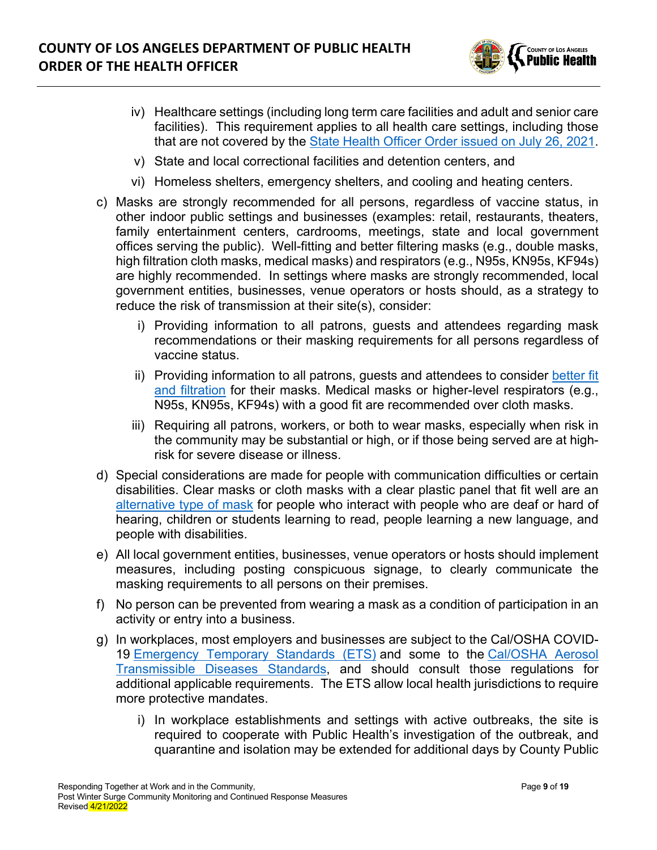

- iv) Healthcare settings (including long term care facilities and adult and senior care facilities). This requirement applies to all health care settings, including those that are not covered by the [State Health Officer Order issued on July 26, 2021.](https://www.cdph.ca.gov/Programs/CID/DCDC/Pages/COVID-19/Order-of-the-State-Public-Health-Officer-Unvaccinated-Workers-In-High-Risk-Settings.aspx)
- v) State and local correctional facilities and detention centers, and
- vi) Homeless shelters, emergency shelters, and cooling and heating centers.
- c) Masks are strongly recommended for all persons, regardless of vaccine status, in other indoor public settings and businesses (examples: retail, restaurants, theaters, family entertainment centers, cardrooms, meetings, state and local government offices serving the public). Well-fitting and better filtering masks (e.g., double masks, high filtration cloth masks, medical masks) and respirators (e.g., N95s, KN95s, KF94s) are highly recommended. In settings where masks are strongly recommended, local government entities, businesses, venue operators or hosts should, as a strategy to reduce the risk of transmission at their site(s), consider:
	- i) Providing information to all patrons, guests and attendees regarding mask recommendations or their masking requirements for all persons regardless of vaccine status.
	- ii) Providing information to all patrons, guests and attendees to consider [better fit](http://publichealth.lacounty.gov/acd/ncorona2019/masks/#kindofmask)  [and filtration](http://publichealth.lacounty.gov/acd/ncorona2019/masks/#kindofmask) for their masks. Medical masks or higher-level respirators (e.g., N95s, KN95s, KF94s) with a good fit are recommended over cloth masks.
	- iii) Requiring all patrons, workers, or both to wear masks, especially when risk in the community may be substantial or high, or if those being served are at highrisk for severe disease or illness.
- d) Special considerations are made for people with communication difficulties or certain disabilities. Clear masks or cloth masks with a clear plastic panel that fit well are an [alternative type of mask](http://publichealth.lacounty.gov/acd/ncorona2019/masks/#specialconsiderations) for people who interact with people who are deaf or hard of hearing, children or students learning to read, people learning a new language, and people with disabilities.
- e) All local government entities, businesses, venue operators or hosts should implement measures, including posting conspicuous signage, to clearly communicate the masking requirements to all persons on their premises.
- f) No person can be prevented from wearing a mask as a condition of participation in an activity or entry into a business.
- g) In workplaces, most employers and businesses are subject to the Cal/OSHA COVID-19 [Emergency Temporary Standards \(ETS\)](https://www.dir.ca.gov/dosh/coronavirus/ETS.html) and some to the [Cal/OSHA Aerosol](https://www.dir.ca.gov/dosh/dosh_publications/ATD-Guide.pdf)  [Transmissible Diseases Standards,](https://www.dir.ca.gov/dosh/dosh_publications/ATD-Guide.pdf) and should consult those regulations for additional applicable requirements. The ETS allow local health jurisdictions to require more protective mandates.
	- i) In workplace establishments and settings with active outbreaks, the site is required to cooperate with Public Health's investigation of the outbreak, and quarantine and isolation may be extended for additional days by County Public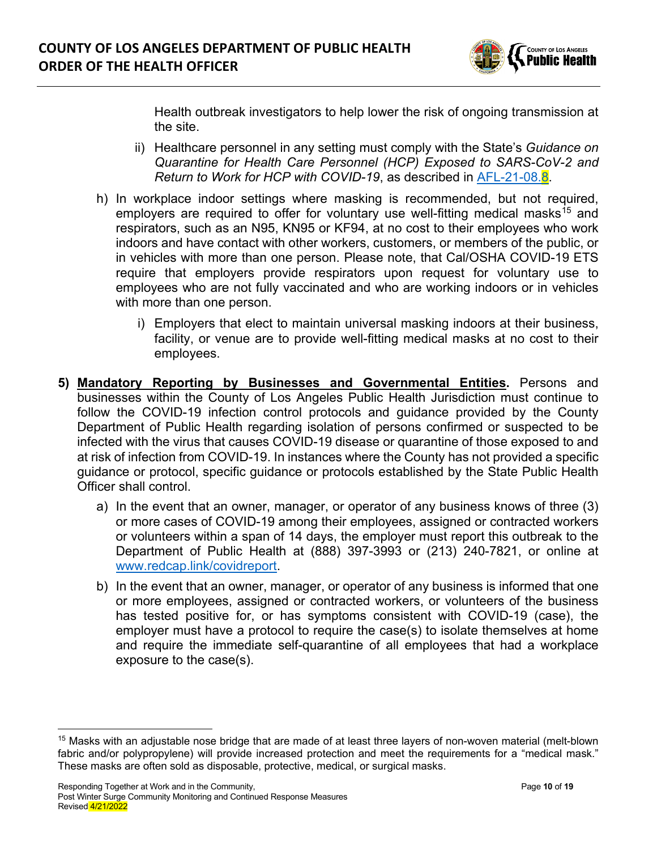

Health outbreak investigators to help lower the risk of ongoing transmission at the site.

- ii) Healthcare personnel in any setting must comply with the State's *Guidance on Quarantine for Health Care Personnel (HCP) Exposed to SARS-CoV-2 and Return to Work for HCP with COVID-19*, as described in [AFL-21-08.8.](https://www.cdph.ca.gov/Programs/CHCQ/LCP/Pages/AFL-21-08.aspx)
- h) In workplace indoor settings where masking is recommended, but not required, employers are required to offer for voluntary use well-fitting medical masks<sup>[15](#page-9-0)</sup> and respirators, such as an N95, KN95 or KF94, at no cost to their employees who work indoors and have contact with other workers, customers, or members of the public, or in vehicles with more than one person. Please note, that Cal/OSHA COVID-19 ETS require that employers provide respirators upon request for voluntary use to employees who are not fully vaccinated and who are working indoors or in vehicles with more than one person.
	- i) Employers that elect to maintain universal masking indoors at their business, facility, or venue are to provide well-fitting medical masks at no cost to their employees.
- **5) Mandatory Reporting by Businesses and Governmental Entities.** Persons and businesses within the County of Los Angeles Public Health Jurisdiction must continue to follow the COVID-19 infection control protocols and guidance provided by the County Department of Public Health regarding isolation of persons confirmed or suspected to be infected with the virus that causes COVID-19 disease or quarantine of those exposed to and at risk of infection from COVID-19. In instances where the County has not provided a specific guidance or protocol, specific guidance or protocols established by the State Public Health Officer shall control.
	- a) In the event that an owner, manager, or operator of any business knows of three (3) or more cases of COVID-19 among their employees, assigned or contracted workers or volunteers within a span of 14 days, the employer must report this outbreak to the Department of Public Health at (888) 397-3993 or (213) 240-7821, or online at [www.redcap.link/covidreport.](http://www.redcap.link/covidreport)
	- b) In the event that an owner, manager, or operator of any business is informed that one or more employees, assigned or contracted workers, or volunteers of the business has tested positive for, or has symptoms consistent with COVID-19 (case), the employer must have a protocol to require the case(s) to isolate themselves at home and require the immediate self-quarantine of all employees that had a workplace exposure to the case(s).

<span id="page-9-0"></span><sup>15</sup> Masks with an adjustable nose bridge that are made of at least three layers of non-woven material (melt-blown fabric and/or polypropylene) will provide increased protection and meet the requirements for a "medical mask." These masks are often sold as disposable, protective, medical, or surgical masks.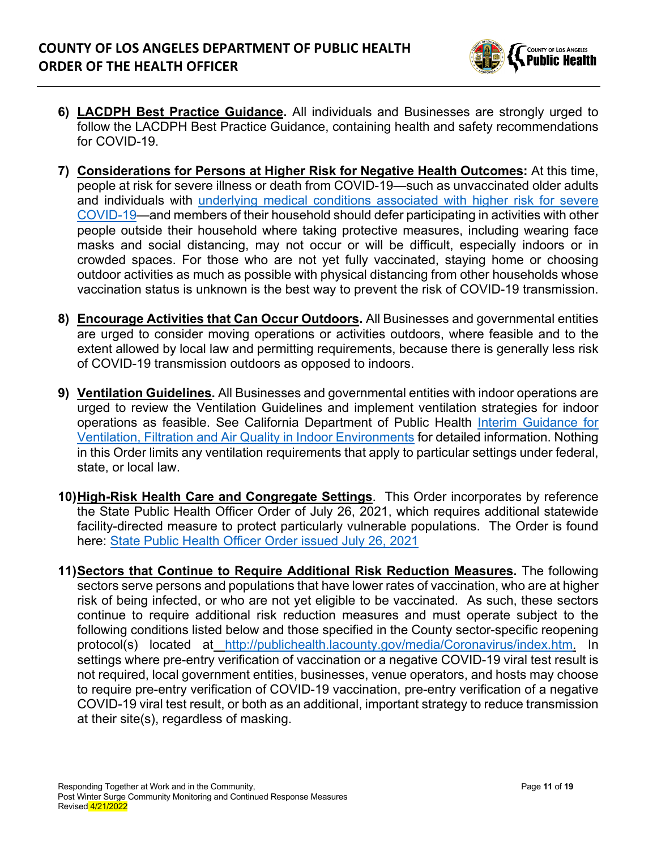

- **6) LACDPH Best Practice Guidance.** All individuals and Businesses are strongly urged to follow the LACDPH Best Practice Guidance, containing health and safety recommendations for COVID-19.
- **7) Considerations for Persons at Higher Risk for Negative Health Outcomes:** At this time, people at risk for severe illness or death from COVID-19—such as unvaccinated older adults and individuals with [underlying medical conditions associated with higher risk for severe](https://www.cdc.gov/coronavirus/2019-ncov/need-extra-precautions/people-with-medical-conditions.html)  [COVID-19—](https://www.cdc.gov/coronavirus/2019-ncov/need-extra-precautions/people-with-medical-conditions.html)and members of their household should defer participating in activities with other people outside their household where taking protective measures, including wearing face masks and social distancing, may not occur or will be difficult, especially indoors or in crowded spaces. For those who are not yet fully vaccinated, staying home or choosing outdoor activities as much as possible with physical distancing from other households whose vaccination status is unknown is the best way to prevent the risk of COVID-19 transmission.
- **8) Encourage Activities that Can Occur Outdoors.** All Businesses and governmental entities are urged to consider moving operations or activities outdoors, where feasible and to the extent allowed by local law and permitting requirements, because there is generally less risk of COVID-19 transmission outdoors as opposed to indoors.
- **9) Ventilation Guidelines.** All Businesses and governmental entities with indoor operations are urged to review the Ventilation Guidelines and implement ventilation strategies for indoor operations as feasible. See California Department of Public Health [Interim Guidance for](https://www.cdph.ca.gov/Programs/CID/DCDC/Pages/COVID-19/Interim-Guidance-for-Ventilation-Filtration-and-Air-Quality-in-Indoor-Environments.aspx)  [Ventilation, Filtration and Air Quality in Indoor Environments](https://www.cdph.ca.gov/Programs/CID/DCDC/Pages/COVID-19/Interim-Guidance-for-Ventilation-Filtration-and-Air-Quality-in-Indoor-Environments.aspx) for detailed information. Nothing in this Order limits any ventilation requirements that apply to particular settings under federal, state, or local law.
- **10)High-Risk Health Care and Congregate Settings**. This Order incorporates by reference the State Public Health Officer Order of July 26, 2021, which requires additional statewide facility-directed measure to protect particularly vulnerable populations. The Order is found here: [State Public Health Officer Order issued July 26, 2021](https://www.cdph.ca.gov/Programs/CID/DCDC/Pages/COVID-19/Order-of-the-State-Public-Health-Officer-Unvaccinated-Workers-In-High-Risk-Settings.aspx)
- **11)Sectors that Continue to Require Additional Risk Reduction Measures.** The following sectors serve persons and populations that have lower rates of vaccination, who are at higher risk of being infected, or who are not yet eligible to be vaccinated. As such, these sectors continue to require additional risk reduction measures and must operate subject to the following conditions listed below and those specified in the County sector-specific reopening protocol(s) located at [http://publichealth.lacounty.gov/media/Coronavirus/index.htm.](http://publichealth.lacounty.gov/media/Coronavirus/index.htm) In settings where pre-entry verification of vaccination or a negative COVID-19 viral test result is not required, local government entities, businesses, venue operators, and hosts may choose to require pre-entry verification of COVID-19 vaccination, pre-entry verification of a negative COVID-19 viral test result, or both as an additional, important strategy to reduce transmission at their site(s), regardless of masking.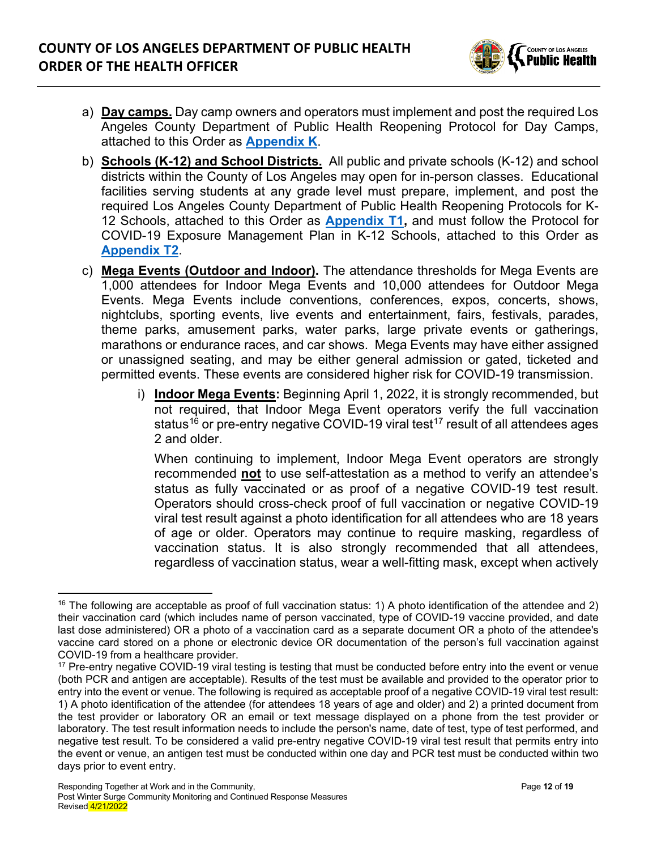

- a) **Day camps.** Day camp owners and operators must implement and post the required Los Angeles County Department of Public Health Reopening Protocol for Day Camps, attached to this Order as **[Appendix K](http://publichealth.lacounty.gov/media/Coronavirus/docs/protocols/Reopening_DayCamps.pdf)**.
- b) **Schools (K-12) and School Districts.** All public and private schools (K-12) and school districts within the County of Los Angeles may open for in-person classes. Educational facilities serving students at any grade level must prepare, implement, and post the required Los Angeles County Department of Public Health Reopening Protocols for K-12 Schools, attached to this Order as **[Appendix T1,](http://publichealth.lacounty.gov/media/Coronavirus/docs/protocols/Reopening_K12Schools.pdf)** and must follow the Protocol for COVID-19 Exposure Management Plan in K-12 Schools, attached to this Order as **[Appendix T2](http://www.ph.lacounty.gov/media/Coronavirus/docs/protocols/ExposureManagementPlan_K12Schools.pdf)**.
- c) **Mega Events (Outdoor and Indoor).** The attendance thresholds for Mega Events are 1,000 attendees for Indoor Mega Events and 10,000 attendees for Outdoor Mega Events. Mega Events include conventions, conferences, expos, concerts, shows, nightclubs, sporting events, live events and entertainment, fairs, festivals, parades, theme parks, amusement parks, water parks, large private events or gatherings, marathons or endurance races, and car shows. Mega Events may have either assigned or unassigned seating, and may be either general admission or gated, ticketed and permitted events. These events are considered higher risk for COVID-19 transmission.
	- i) **Indoor Mega Events:** Beginning April 1, 2022, it is strongly recommended, but not required, that Indoor Mega Event operators verify the full vaccination status<sup>[16](#page-11-0)</sup> or pre-entry negative COVID-19 viral test<sup>[17](#page-11-1)</sup> result of all attendees ages 2 and older.

When continuing to implement, Indoor Mega Event operators are strongly recommended **not** to use self-attestation as a method to verify an attendee's status as fully vaccinated or as proof of a negative COVID-19 test result. Operators should cross-check proof of full vaccination or negative COVID-19 viral test result against a photo identification for all attendees who are 18 years of age or older. Operators may continue to require masking, regardless of vaccination status. It is also strongly recommended that all attendees, regardless of vaccination status, wear a well-fitting mask, except when actively

<span id="page-11-0"></span> $16$  The following are acceptable as proof of full vaccination status: 1) A photo identification of the attendee and 2) their vaccination card (which includes name of person vaccinated, type of COVID-19 vaccine provided, and date last dose administered) OR a photo of a vaccination card as a separate document OR a photo of the attendee's vaccine card stored on a phone or electronic device OR documentation of the person's full vaccination against COVID-19 from a healthcare provider.

<span id="page-11-1"></span><sup>&</sup>lt;sup>17</sup> Pre-entry negative COVID-19 viral testing is testing that must be conducted before entry into the event or venue (both PCR and antigen are acceptable). Results of the test must be available and provided to the operator prior to entry into the event or venue. The following is required as acceptable proof of a negative COVID-19 viral test result: 1) A photo identification of the attendee (for attendees 18 years of age and older) and 2) a printed document from the test provider or laboratory OR an email or text message displayed on a phone from the test provider or laboratory. The test result information needs to include the person's name, date of test, type of test performed, and negative test result. To be considered a valid pre-entry negative COVID-19 viral test result that permits entry into the event or venue, an antigen test must be conducted within one day and PCR test must be conducted within two days prior to event entry.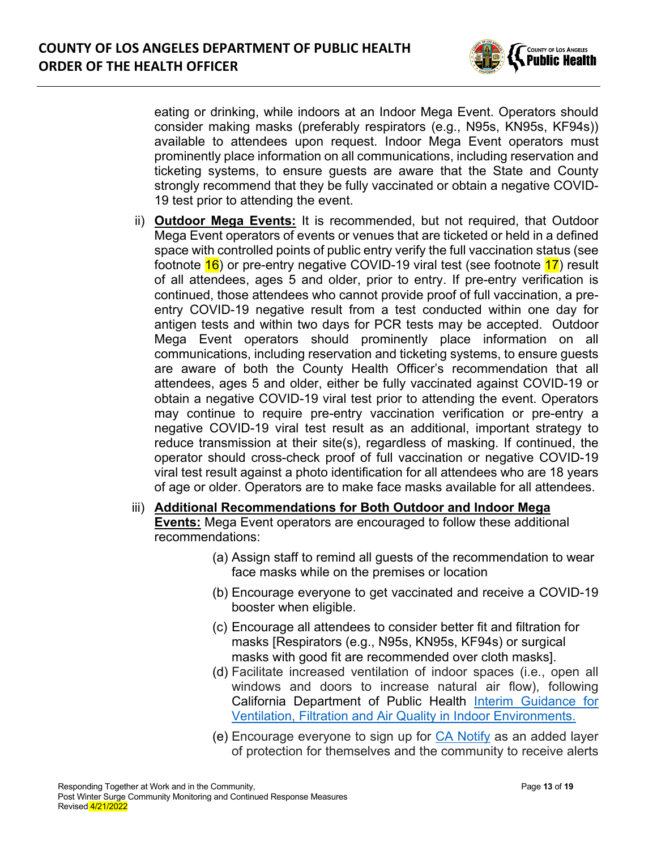

eating or drinking, while indoors at an Indoor Mega Event. Operators should consider making masks (preferably respirators (e.g., N95s, KN95s, KF94s)) available to attendees upon request. Indoor Mega Event operators must prominently place information on all communications, including reservation and ticketing systems, to ensure guests are aware that the State and County strongly recommend that they be fully vaccinated or obtain a negative COVID-19 test prior to attending the event.

- ii) **Outdoor Mega Events:** It is recommended, but not required, that Outdoor Mega Event operators of events or venues that are ticketed or held in a defined space with controlled points of public entry verify the full vaccination status (see footnote  $16$ ) or pre-entry negative COVID-19 viral test (see footnote  $17$ ) result of all attendees, ages 5 and older, prior to entry. If pre-entry verification is continued, those attendees who cannot provide proof of full vaccination, a preentry COVID-19 negative result from a test conducted within one day for antigen tests and within two days for PCR tests may be accepted. Outdoor Mega Event operators should prominently place information on all communications, including reservation and ticketing systems, to ensure guests are aware of both the County Health Officer's recommendation that all attendees, ages 5 and older, either be fully vaccinated against COVID-19 or obtain a negative COVID-19 viral test prior to attending the event. Operators may continue to require pre-entry vaccination verification or pre-entry a negative COVID-19 viral test result as an additional, important strategy to reduce transmission at their site(s), regardless of masking. If continued, the operator should cross-check proof of full vaccination or negative COVID-19 viral test result against a photo identification for all attendees who are 18 years of age or older. Operators are to make face masks available for all attendees.
- iii) **Additional Recommendations for Both Outdoor and Indoor Mega Events:** Mega Event operators are encouraged to follow these additional recommendations:
	- (a) Assign staff to remind all guests of the recommendation to wear face masks while on the premises or location
	- (b) Encourage everyone to get vaccinated and receive a COVID-19 booster when eligible.
	- (c) Encourage all attendees to consider better fit and filtration for masks [Respirators (e.g., N95s, KN95s, KF94s) or surgical masks with good fit are recommended over cloth masks].
	- (d) Facilitate increased ventilation of indoor spaces (i.e., open all windows and doors to increase natural air flow), following California Department of Public Health [Interim Guidance for](https://www.cdph.ca.gov/Programs/CID/DCDC/Pages/COVID-19/Interim-Guidance-for-Ventilation-Filtration-and-Air-Quality-in-Indoor-Environments.aspx)  [Ventilation, Filtration and Air Quality in Indoor Environments.](https://www.cdph.ca.gov/Programs/CID/DCDC/Pages/COVID-19/Interim-Guidance-for-Ventilation-Filtration-and-Air-Quality-in-Indoor-Environments.aspx)
	- (e) Encourage everyone to sign up for [CA Notify](https://canotify.ca.gov/#section2) as an added layer of protection for themselves and the community to receive alerts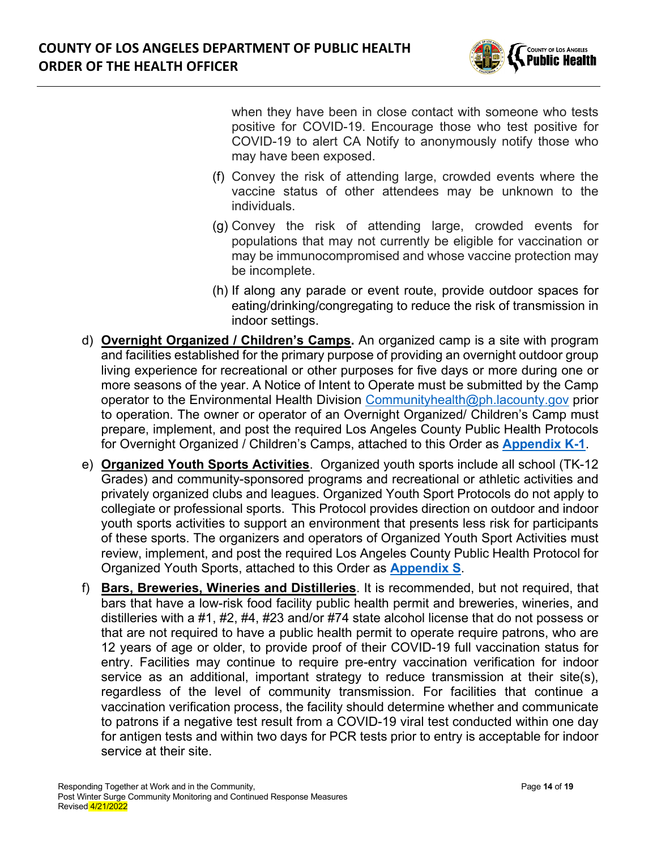

when they have been in close contact with someone who tests positive for COVID-19. Encourage those who test positive for COVID-19 to alert CA Notify to anonymously notify those who may have been exposed.

- (f) Convey the risk of attending large, crowded events where the vaccine status of other attendees may be unknown to the individuals.
- (g) Convey the risk of attending large, crowded events for populations that may not currently be eligible for vaccination or may be immunocompromised and whose vaccine protection may be incomplete.
- (h) If along any parade or event route, provide outdoor spaces for eating/drinking/congregating to reduce the risk of transmission in indoor settings.
- d) **Overnight Organized / Children's Camps.** An organized camp is a site with program and facilities established for the primary purpose of providing an overnight outdoor group living experience for recreational or other purposes for five days or more during one or more seasons of the year. A Notice of Intent to Operate must be submitted by the Camp operator to the Environmental Health Division [Communityhealth@ph.lacounty.gov](mailto:Communityhealth@ph.lacounty.gov) prior to operation. The owner or operator of an Overnight Organized/ Children's Camp must prepare, implement, and post the required Los Angeles County Public Health Protocols for Overnight Organized / Children's Camps, attached to this Order as **[Appendix K-1](http://publichealth.lacounty.gov/media/Coronavirus/docs/protocols/Reopening_OvernightCamps.pdf)**.
- e) **Organized Youth Sports Activities**. Organized youth sports include all school (TK-12 Grades) and community-sponsored programs and recreational or athletic activities and privately organized clubs and leagues. Organized Youth Sport Protocols do not apply to collegiate or professional sports. This Protocol provides direction on outdoor and indoor youth sports activities to support an environment that presents less risk for participants of these sports. The organizers and operators of Organized Youth Sport Activities must review, implement, and post the required Los Angeles County Public Health Protocol for Organized Youth Sports, attached to this Order as **[Appendix S](http://publichealth.lacounty.gov/media/Coronavirus/docs/protocols/Reopening_YouthSports.pdf)**.
- f) **Bars, Breweries, Wineries and Distilleries**. It is recommended, but not required, that bars that have a low-risk food facility public health permit and breweries, wineries, and distilleries with a #1, #2, #4, #23 and/or #74 state alcohol license that do not possess or that are not required to have a public health permit to operate require patrons, who are 12 years of age or older, to provide proof of their COVID-19 full vaccination status for entry. Facilities may continue to require pre-entry vaccination verification for indoor service as an additional, important strategy to reduce transmission at their site(s), regardless of the level of community transmission. For facilities that continue a vaccination verification process, the facility should determine whether and communicate to patrons if a negative test result from a COVID-19 viral test conducted within one day for antigen tests and within two days for PCR tests prior to entry is acceptable for indoor service at their site.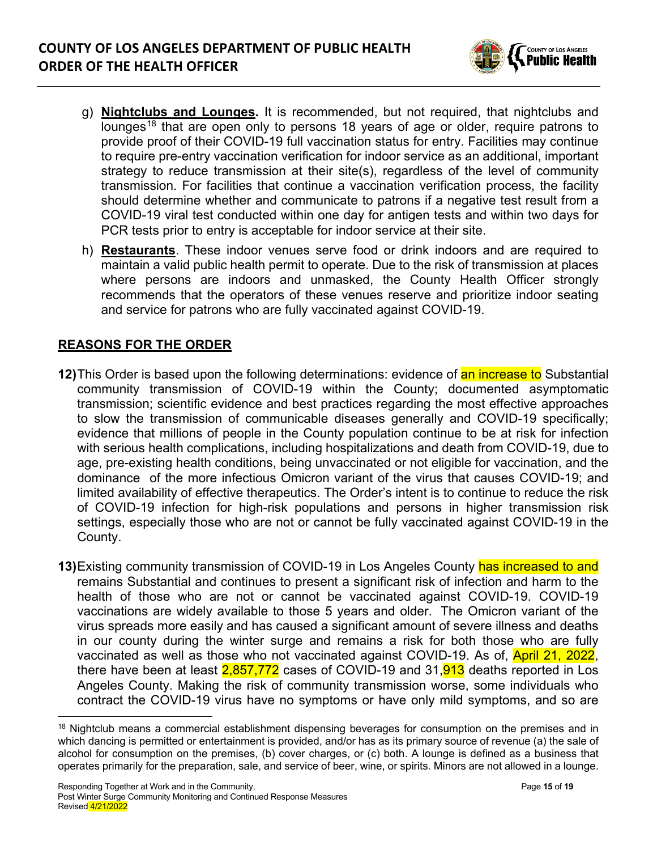

- g) **Nightclubs and Lounges.** It is recommended, but not required, that nightclubs and lounges<sup>[18](#page-14-0)</sup> that are open only to persons 18 years of age or older, require patrons to provide proof of their COVID-19 full vaccination status for entry. Facilities may continue to require pre-entry vaccination verification for indoor service as an additional, important strategy to reduce transmission at their site(s), regardless of the level of community transmission. For facilities that continue a vaccination verification process, the facility should determine whether and communicate to patrons if a negative test result from a COVID-19 viral test conducted within one day for antigen tests and within two days for PCR tests prior to entry is acceptable for indoor service at their site.
- h) **Restaurants**. These indoor venues serve food or drink indoors and are required to maintain a valid public health permit to operate. Due to the risk of transmission at places where persons are indoors and unmasked, the County Health Officer strongly recommends that the operators of these venues reserve and prioritize indoor seating and service for patrons who are fully vaccinated against COVID-19.

## **REASONS FOR THE ORDER**

- **12)**This Order is based upon the following determinations: evidence of an increase to Substantial community transmission of COVID-19 within the County; documented asymptomatic transmission; scientific evidence and best practices regarding the most effective approaches to slow the transmission of communicable diseases generally and COVID-19 specifically; evidence that millions of people in the County population continue to be at risk for infection with serious health complications, including hospitalizations and death from COVID-19, due to age, pre-existing health conditions, being unvaccinated or not eligible for vaccination, and the dominance of the more infectious Omicron variant of the virus that causes COVID-19; and limited availability of effective therapeutics. The Order's intent is to continue to reduce the risk of COVID-19 infection for high-risk populations and persons in higher transmission risk settings, especially those who are not or cannot be fully vaccinated against COVID-19 in the County.
- **13)**Existing community transmission of COVID-19 in Los Angeles County has increased to and remains Substantial and continues to present a significant risk of infection and harm to the health of those who are not or cannot be vaccinated against COVID-19. COVID-19 vaccinations are widely available to those 5 years and older. The Omicron variant of the virus spreads more easily and has caused a significant amount of severe illness and deaths in our county during the winter surge and remains a risk for both those who are fully vaccinated as well as those who not vaccinated against COVID-19. As of, **April 21, 2022**, there have been at least  $2.857.772$  cases of COVID-19 and 31, $913$  deaths reported in Los Angeles County. Making the risk of community transmission worse, some individuals who contract the COVID-19 virus have no symptoms or have only mild symptoms, and so are

<span id="page-14-0"></span><sup>&</sup>lt;sup>18</sup> Nightclub means a commercial establishment dispensing beverages for consumption on the premises and in which dancing is permitted or entertainment is provided, and/or has as its primary source of revenue (a) the sale of alcohol for consumption on the premises, (b) cover charges, or (c) both. A lounge is defined as a business that operates primarily for the preparation, sale, and service of beer, wine, or spirits. Minors are not allowed in a lounge.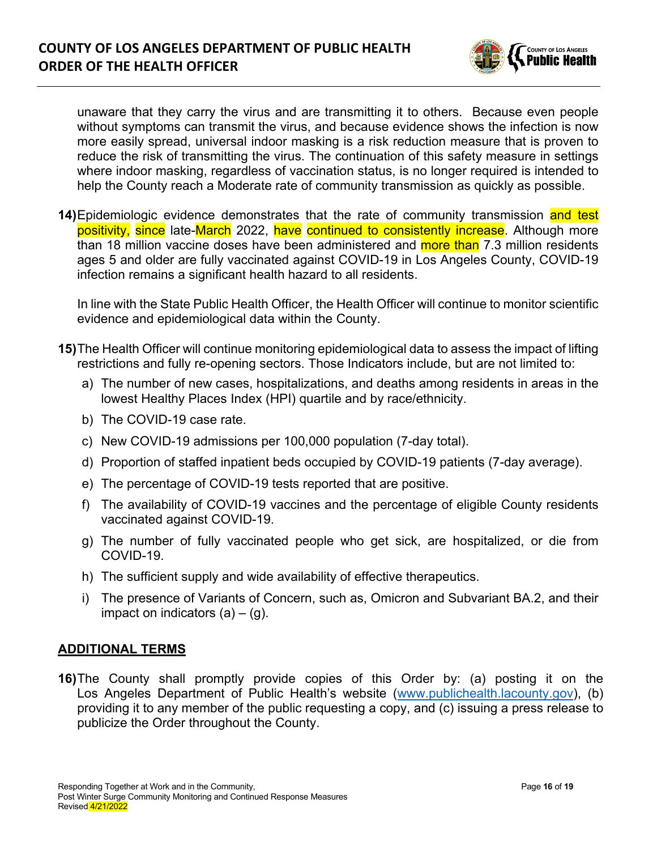

unaware that they carry the virus and are transmitting it to others. Because even people without symptoms can transmit the virus, and because evidence shows the infection is now more easily spread, universal indoor masking is a risk reduction measure that is proven to reduce the risk of transmitting the virus. The continuation of this safety measure in settings where indoor masking, regardless of vaccination status, is no longer required is intended to help the County reach a Moderate rate of community transmission as quickly as possible.

**14)**Epidemiologic evidence demonstrates that the rate of community transmission and test positivity, since late-March 2022, have continued to consistently increase. Although more than 18 million vaccine doses have been administered and more than 7.3 million residents ages 5 and older are fully vaccinated against COVID-19 in Los Angeles County, COVID-19 infection remains a significant health hazard to all residents.

In line with the State Public Health Officer, the Health Officer will continue to monitor scientific evidence and epidemiological data within the County.

- **15)**The Health Officer will continue monitoring epidemiological data to assess the impact of lifting restrictions and fully re-opening sectors. Those Indicators include, but are not limited to:
	- a) The number of new cases, hospitalizations, and deaths among residents in areas in the lowest Healthy Places Index (HPI) quartile and by race/ethnicity.
	- b) The COVID-19 case rate.
	- c) New COVID-19 admissions per 100,000 population (7-day total).
	- d) Proportion of staffed inpatient beds occupied by COVID-19 patients (7-day average).
	- e) The percentage of COVID-19 tests reported that are positive.
	- f) The availability of COVID-19 vaccines and the percentage of eligible County residents vaccinated against COVID-19.
	- g) The number of fully vaccinated people who get sick, are hospitalized, or die from COVID-19.
	- h) The sufficient supply and wide availability of effective therapeutics.
	- i) The presence of Variants of Concern, such as, Omicron and Subvariant BA.2, and their impact on indicators  $(a) - (g)$ .

#### **ADDITIONAL TERMS**

**16)**The County shall promptly provide copies of this Order by: (a) posting it on the Los Angeles Department of Public Health's website [\(www.publichealth.lacounty.gov\)](http://www.publichealth.lacounty.gov/), (b) providing it to any member of the public requesting a copy, and (c) issuing a press release to publicize the Order throughout the County.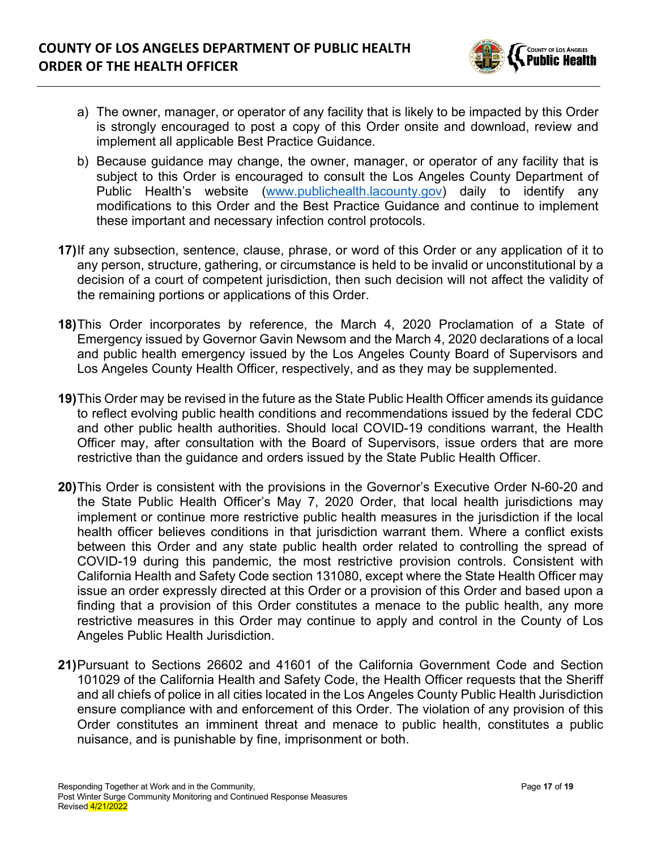

- a) The owner, manager, or operator of any facility that is likely to be impacted by this Order is strongly encouraged to post a copy of this Order onsite and download, review and implement all applicable Best Practice Guidance.
- b) Because guidance may change, the owner, manager, or operator of any facility that is subject to this Order is encouraged to consult the Los Angeles County Department of Public Health's website [\(www.publichealth.lacounty.gov\)](http://www.publichealth.lacounty.gov/) daily to identify any modifications to this Order and the Best Practice Guidance and continue to implement these important and necessary infection control protocols.
- **17)**If any subsection, sentence, clause, phrase, or word of this Order or any application of it to any person, structure, gathering, or circumstance is held to be invalid or unconstitutional by a decision of a court of competent jurisdiction, then such decision will not affect the validity of the remaining portions or applications of this Order.
- **18)**This Order incorporates by reference, the March 4, 2020 Proclamation of a State of Emergency issued by Governor Gavin Newsom and the March 4, 2020 declarations of a local and public health emergency issued by the Los Angeles County Board of Supervisors and Los Angeles County Health Officer, respectively, and as they may be supplemented.
- **19)**This Order may be revised in the future as the State Public Health Officer amends its guidance to reflect evolving public health conditions and recommendations issued by the federal CDC and other public health authorities. Should local COVID-19 conditions warrant, the Health Officer may, after consultation with the Board of Supervisors, issue orders that are more restrictive than the guidance and orders issued by the State Public Health Officer.
- **20)**This Order is consistent with the provisions in the Governor's Executive Order N-60-20 and the State Public Health Officer's May 7, 2020 Order, that local health jurisdictions may implement or continue more restrictive public health measures in the jurisdiction if the local health officer believes conditions in that jurisdiction warrant them. Where a conflict exists between this Order and any state public health order related to controlling the spread of COVID-19 during this pandemic, the most restrictive provision controls. Consistent with California Health and Safety Code section 131080, except where the State Health Officer may issue an order expressly directed at this Order or a provision of this Order and based upon a finding that a provision of this Order constitutes a menace to the public health, any more restrictive measures in this Order may continue to apply and control in the County of Los Angeles Public Health Jurisdiction.
- **21)**Pursuant to Sections 26602 and 41601 of the California Government Code and Section 101029 of the California Health and Safety Code, the Health Officer requests that the Sheriff and all chiefs of police in all cities located in the Los Angeles County Public Health Jurisdiction ensure compliance with and enforcement of this Order. The violation of any provision of this Order constitutes an imminent threat and menace to public health, constitutes a public nuisance, and is punishable by fine, imprisonment or both.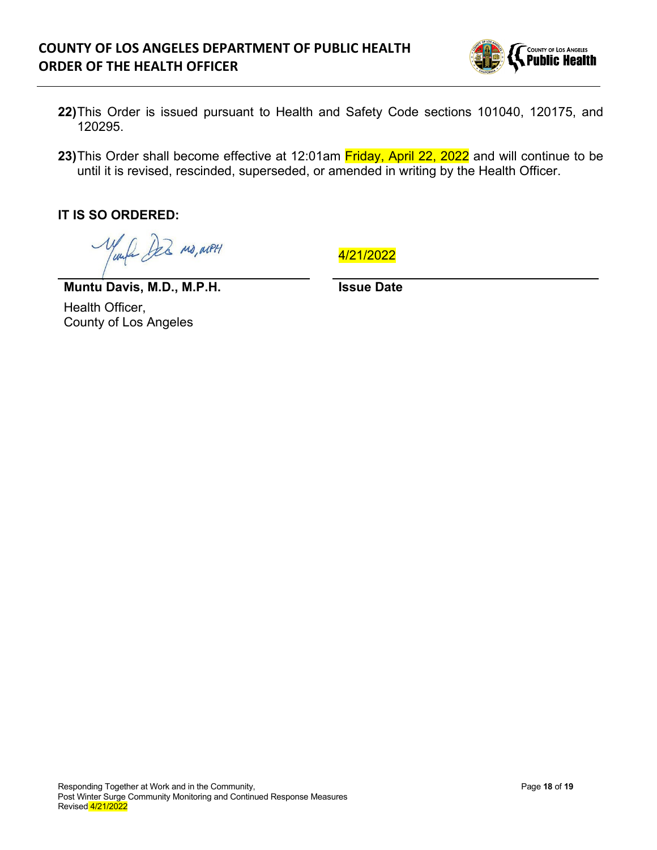# **COUNTY OF LOS ANGELES DEPARTMENT OF PUBLIC HEALTH ORDER OF THE HEALTH OFFICER**



- **22)**This Order is issued pursuant to Health and Safety Code sections 101040, 120175, and 120295.
- 23) This Order shall become effective at 12:01am Friday, April 22, 2022 and will continue to be until it is revised, rescinded, superseded, or amended in writing by the Health Officer.

**IT IS SO ORDERED:** 

le bez ma, aven

4/21/2022

**Issue Date**

**Muntu Davis, M.D., M.P.H.** Health Officer, County of Los Angeles